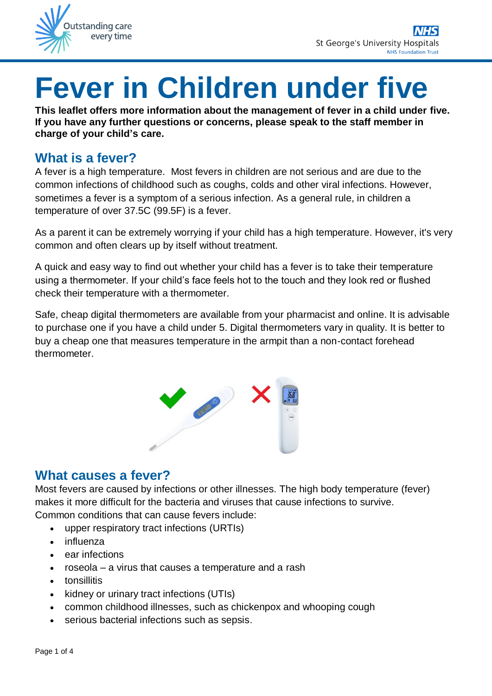

# **Fever in Children under five**

**This leaflet offers more information about the management of fever in a child under five. If you have any further questions or concerns, please speak to the staff member in charge of your child's care.**

# **What is a fever?**

A fever is a high temperature. Most fevers in children are not serious and are due to the common infections of childhood such as coughs, colds and other viral infections. However, sometimes a fever is a symptom of a serious infection. As a general rule, in children a temperature of over 37.5C (99.5F) is a fever.

As a parent it can be extremely worrying if your child has a high temperature. However, it's very common and often clears up by itself without treatment.

A quick and easy way to find out whether your child has a fever is to take their temperature using a thermometer. If your child's face feels hot to the touch and they look red or flushed check their temperature with a thermometer.

Safe, cheap digital thermometers are available from your pharmacist and online. It is advisable to purchase one if you have a child under 5. Digital thermometers vary in quality. It is better to buy a cheap one that measures temperature in the armpit than a non-contact forehead thermometer.



## **What causes a fever?**

Most fevers are caused by infections or other illnesses. The high body temperature (fever) makes it more difficult for the bacteria and viruses that cause infections to survive. Common conditions that can cause fevers include:

- upper respiratory tract infections (URTIs)
- influenza
- ear infections
- roseola a virus that causes a temperature and a rash
- tonsillitis
- kidney or urinary tract infections (UTIs)
- common childhood illnesses, such as chickenpox and whooping cough
- serious bacterial infections such as sepsis.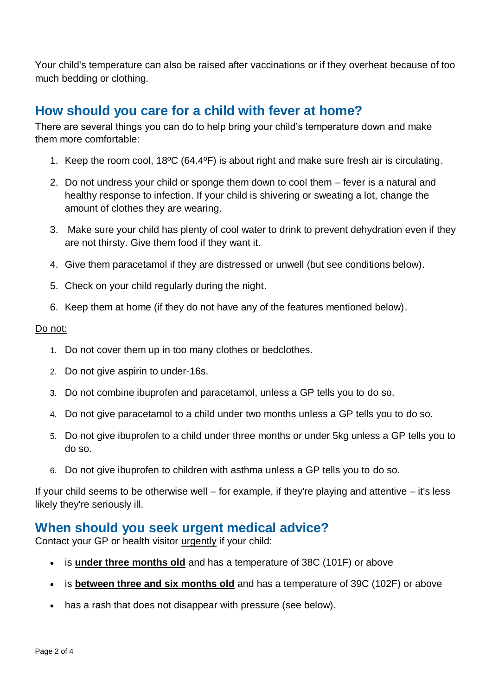Your child's temperature can also be raised after vaccinations or if they overheat because of too much bedding or clothing.

# **How should you care for a child with fever at home?**

There are several things you can do to help bring your child's temperature down and make them more comfortable:

- 1. Keep the room cool, 18ºC (64.4ºF) is about right and make sure fresh air is circulating.
- 2. Do not undress your child or sponge them down to cool them fever is a natural and healthy response to infection. If your child is shivering or sweating a lot, change the amount of clothes they are wearing.
- 3. Make sure your child has plenty of cool water to drink to prevent dehydration even if they are not thirsty. Give them food if they want it.
- 4. Give them paracetamol if they are distressed or unwell (but see conditions below).
- 5. Check on your child regularly during the night.
- 6. Keep them at home (if they do not have any of the features mentioned below).

#### Do not:

- 1. Do not cover them up in too many clothes or bedclothes.
- 2. Do not give aspirin to under-16s.
- 3. Do not combine ibuprofen and paracetamol, unless a GP tells you to do so.
- 4. Do not give paracetamol to a child under two months unless a GP tells you to do so.
- 5. Do not give ibuprofen to a child under three months or under 5kg unless a GP tells you to do so.
- 6. Do not give ibuprofen to children with asthma unless a GP tells you to do so.

If your child seems to be otherwise well – for example, if they're playing and attentive – it's less likely they're seriously ill.

## **When should you seek urgent medical advice?**

Contact your GP or health visitor urgently if your child:

- is **under three months old** and has a temperature of 38C (101F) or above
- is **between three and six months old** and has a temperature of 39C (102F) or above
- has a rash that does not disappear with pressure (see below).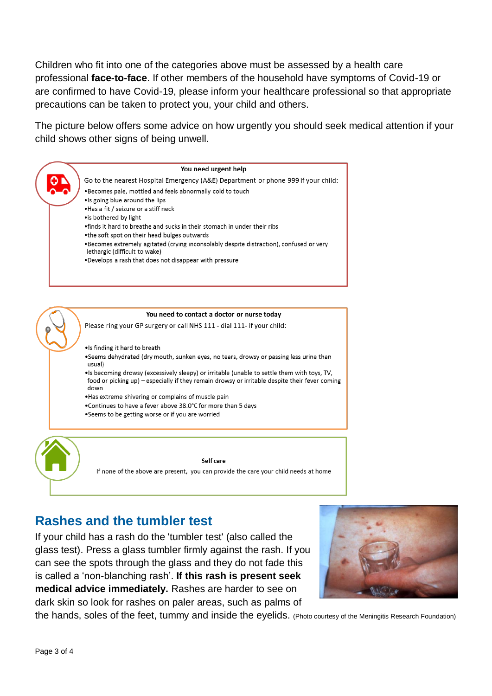Children who fit into one of the categories above must be assessed by a health care professional **face-to-face**. If other members of the household have symptoms of Covid-19 or are confirmed to have Covid-19, please inform your healthcare professional so that appropriate precautions can be taken to protect you, your child and others.

The picture below offers some advice on how urgently you should seek medical attention if your child shows other signs of being unwell.



# **Rashes and the tumbler test**

If your child has a rash do the 'tumbler test' (also called the glass test). Press a glass tumbler firmly against the rash. If you can see the spots through the glass and they do not fade this is called a 'non-blanching rash'. **If this rash is present seek medical advice immediately.** Rashes are harder to see on dark skin so look for rashes on paler areas, such as palms of



the hands, soles of the feet, tummy and inside the eyelids. (Photo courtesy of the Meningitis Research Foundation)